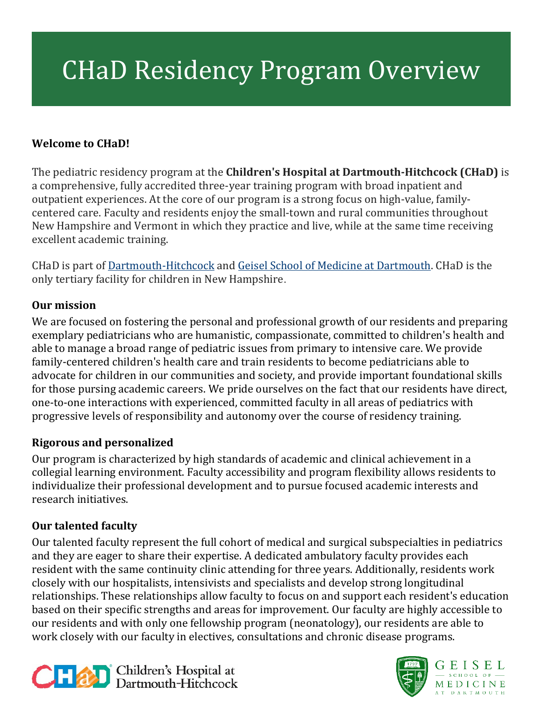# CHaD Residency Program Overview

### **Welcome to CHaD!**

The pediatric residency program at the **Children's Hospital at Dartmouth-Hitchcock (CHaD)** is a comprehensive, fully accredited three-year training program with broad inpatient and outpatient experiences. At the core of our program is a strong focus on high-value, familycentered care. Faculty and residents enjoy the small-town and rural communities throughout New Hampshire and Vermont in which they practice and live, while at the same time receiving excellent academic training.

CHaD is part of [Dartmouth-Hitchcock](https://www.dartmouth-hitchcock.org/) and [Geisel School of Medicine at Dartmouth.](https://geiselmed.dartmouth.edu/) CHaD is the only tertiary facility for children in New Hampshire.

#### **Our mission**

We are focused on fostering the personal and professional growth of our residents and preparing exemplary pediatricians who are humanistic, compassionate, committed to children's health and able to manage a broad range of pediatric issues from primary to intensive care. We provide family-centered children's health care and train residents to become pediatricians able to advocate for children in our communities and society, and provide important foundational skills for those pursing academic careers. We pride ourselves on the fact that our residents have direct, one-to-one interactions with experienced, committed faculty in all areas of pediatrics with progressive levels of responsibility and autonomy over the course of residency training.

#### **Rigorous and personalized**

Our program is characterized by high standards of academic and clinical achievement in a collegial learning environment. Faculty accessibility and program flexibility allows residents to individualize their professional development and to pursue focused academic interests and research initiatives.

#### **Our talented faculty**

[Our talented faculty](http://www.chadkids.org/pediatric-residency/faculty.html) represent the full cohort of medical and surgical subspecialties in pediatrics and they are eager to share their expertise. A dedicated ambulatory faculty provides each resident with the same continuity clinic attending for three years. Additionally, residents work closely with our hospitalists, intensivists and specialists and develop strong longitudinal relationships. These relationships allow faculty to focus on and support each resident's education based on their specific strengths and areas for improvement. Our faculty are highly accessible to our residents and with only one [fellowship program \(neonatology\),](http://gme.dartmouth-hitchcock.org/neonatal.html) our residents are able to work closely with our faculty in electives, consultations and chronic disease programs.